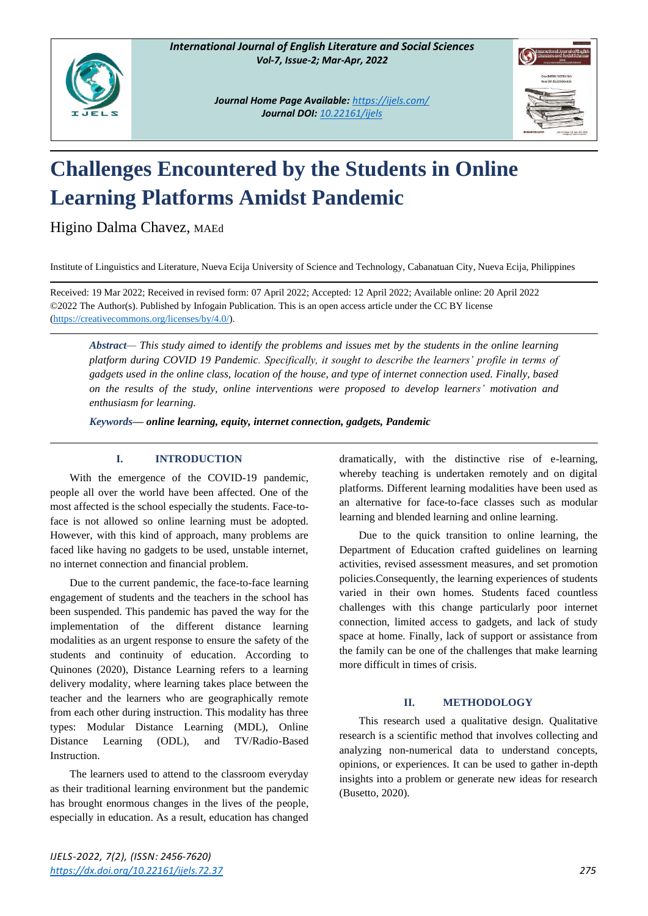

*Journal Home Page Available: <https://ijels.com/> Journal DOI: 10.22161/ijels*



# **Challenges Encountered by the Students in Online Learning Platforms Amidst Pandemic**

Higino Dalma Chavez, MAEd

Institute of Linguistics and Literature, Nueva Ecija University of Science and Technology, Cabanatuan City, Nueva Ecija, Philippines

Received: 19 Mar 2022; Received in revised form: 07 April 2022; Accepted: 12 April 2022; Available online: 20 April 2022 ©2022 The Author(s). Published by Infogain Publication. This is an open access article under the CC BY license [\(https://creativecommons.org/licenses/by/4.0/\)](https://creativecommons.org/licenses/by/4.0/).

*Abstract— This study aimed to identify the problems and issues met by the students in the online learning platform during COVID 19 Pandemic. Specifically, it sought to describe the learners' profile in terms of gadgets used in the online class, location of the house, and type of internet connection used. Finally, based on the results of the study, online interventions were proposed to develop learners' motivation and enthusiasm for learning.* 

*Keywords— online learning, equity, internet connection, gadgets, Pandemic*

## **I. INTRODUCTION**

With the emergence of the COVID-19 pandemic, people all over the world have been affected. One of the most affected is the school especially the students. Face-toface is not allowed so online learning must be adopted. However, with this kind of approach, many problems are faced like having no gadgets to be used, unstable internet, no internet connection and financial problem.

Due to the current pandemic, the face-to-face learning engagement of students and the teachers in the school has been suspended. This pandemic has paved the way for the implementation of the different distance learning modalities as an urgent response to ensure the safety of the students and continuity of education. According to Quinones (2020), Distance Learning refers to a learning delivery modality, where learning takes place between the teacher and the learners who are geographically remote from each other during instruction. This modality has three types: Modular Distance Learning (MDL), Online Distance Learning (ODL), and TV/Radio-Based Instruction.

The learners used to attend to the classroom everyday as their traditional learning environment but the pandemic has brought enormous changes in the lives of the people, especially in education. As a result, education has changed

dramatically, with the distinctive rise of e-learning, whereby teaching is undertaken remotely and on digital platforms. Different learning modalities have been used as an alternative for face-to-face classes such as modular learning and blended learning and online learning.

Due to the quick transition to online learning, the Department of Education crafted guidelines on learning activities, revised assessment measures, and set promotion policies.Consequently, the learning experiences of students varied in their own homes. Students faced countless challenges with this change particularly poor internet connection, limited access to gadgets, and lack of study space at home. Finally, lack of support or assistance from the family can be one of the challenges that make learning more difficult in times of crisis.

## **II. METHODOLOGY**

This research used a qualitative design. Qualitative research is a scientific method that involves collecting and analyzing non-numerical data to understand concepts, opinions, or experiences. It can be used to gather in-depth insights into a problem or generate new ideas for research (Busetto, 2020).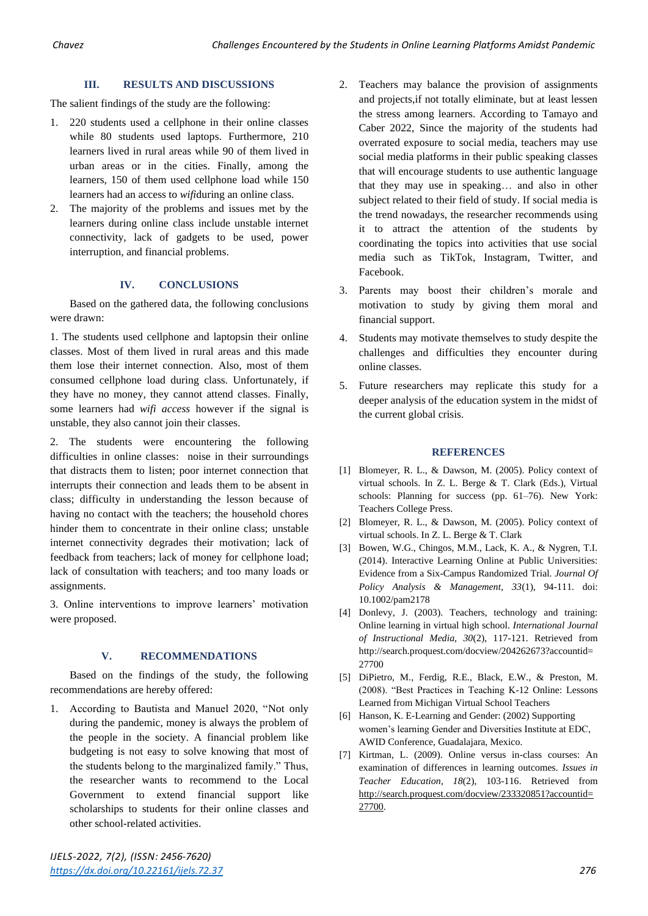#### **III. RESULTS AND DISCUSSIONS**

The salient findings of the study are the following:

- 1. 220 students used a cellphone in their online classes while 80 students used laptops. Furthermore, 210 learners lived in rural areas while 90 of them lived in urban areas or in the cities. Finally, among the learners, 150 of them used cellphone load while 150 learners had an access to *wifi*during an online class.
- 2. The majority of the problems and issues met by the learners during online class include unstable internet connectivity, lack of gadgets to be used, power interruption, and financial problems.

## **IV. CONCLUSIONS**

Based on the gathered data, the following conclusions were drawn:

1. The students used cellphone and laptopsin their online classes. Most of them lived in rural areas and this made them lose their internet connection. Also, most of them consumed cellphone load during class. Unfortunately, if they have no money, they cannot attend classes. Finally, some learners had *wifi access* however if the signal is unstable, they also cannot join their classes.

2. The students were encountering the following difficulties in online classes: noise in their surroundings that distracts them to listen; poor internet connection that interrupts their connection and leads them to be absent in class; difficulty in understanding the lesson because of having no contact with the teachers; the household chores hinder them to concentrate in their online class; unstable internet connectivity degrades their motivation; lack of feedback from teachers; lack of money for cellphone load; lack of consultation with teachers; and too many loads or assignments.

3. Online interventions to improve learners' motivation were proposed.

#### **V. RECOMMENDATIONS**

Based on the findings of the study, the following recommendations are hereby offered:

1. According to Bautista and Manuel 2020, "Not only during the pandemic, money is always the problem of the people in the society. A financial problem like budgeting is not easy to solve knowing that most of the students belong to the marginalized family." Thus, the researcher wants to recommend to the Local Government to extend financial support like scholarships to students for their online classes and other school-related activities.

- 2. Teachers may balance the provision of assignments and projects,if not totally eliminate, but at least lessen the stress among learners. According to Tamayo and Caber 2022, Since the majority of the students had overrated exposure to social media, teachers may use social media platforms in their public speaking classes that will encourage students to use authentic language that they may use in speaking… and also in other subject related to their field of study. If social media is the trend nowadays, the researcher recommends using it to attract the attention of the students by coordinating the topics into activities that use social media such as TikTok, Instagram, Twitter, and Facebook.
- 3. Parents may boost their children's morale and motivation to study by giving them moral and financial support.
- 4. Students may motivate themselves to study despite the challenges and difficulties they encounter during online classes.
- 5. Future researchers may replicate this study for a deeper analysis of the education system in the midst of the current global crisis.

#### **REFERENCES**

- [1] Blomeyer, R. L., & Dawson, M. (2005). Policy context of virtual schools. In Z. L. Berge & T. Clark (Eds.), Virtual schools: Planning for success (pp. 61–76). New York: Teachers College Press.
- [2] Blomeyer, R. L., & Dawson, M. (2005). Policy context of virtual schools. In Z. L. Berge & T. Clark
- [3] Bowen, W.G., Chingos, M.M., Lack, K. A., & Nygren, T.I. (2014). Interactive Learning Online at Public Universities: Evidence from a Six-Campus Randomized Trial. *Journal Of Policy Analysis & Management, 33*(1), 94-111. doi: 10.1002/pam2178
- [4] Donlevy, J. (2003). Teachers, technology and training: Online learning in virtual high school. *International Journal of Instructional Media, 30*(2), 117-121. Retrieved from http://search.proquest.com/docview/204262673?accountid= 27700
- [5] DiPietro, M., Ferdig, R.E., Black, E.W., & Preston, M. (2008). "Best Practices in Teaching K-12 Online: Lessons Learned from Michigan Virtual School Teachers
- [6] Hanson, K. E-Learning and Gender: (2002) Supporting women's learning Gender and Diversities Institute at EDC, AWID Conference, Guadalajara, Mexico.
- [7] Kirtman, L. (2009). Online versus in-class courses: An examination of differences in learning outcomes. *Issues in Teacher Education, 18*(2), 103-116. Retrieved from [http://search.proquest.com/docview/233320851?accountid=](http://search.proquest.com/docview/233320851?accountid=27700) [27700.](http://search.proquest.com/docview/233320851?accountid=27700)